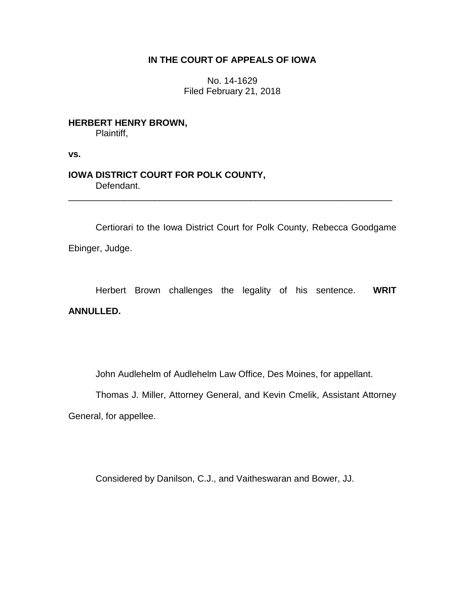## **IN THE COURT OF APPEALS OF IOWA**

No. 14-1629 Filed February 21, 2018

**HERBERT HENRY BROWN,** Plaintiff,

**vs.**

## **IOWA DISTRICT COURT FOR POLK COUNTY,** Defendant.

Certiorari to the Iowa District Court for Polk County, Rebecca Goodgame Ebinger, Judge.

\_\_\_\_\_\_\_\_\_\_\_\_\_\_\_\_\_\_\_\_\_\_\_\_\_\_\_\_\_\_\_\_\_\_\_\_\_\_\_\_\_\_\_\_\_\_\_\_\_\_\_\_\_\_\_\_\_\_\_\_\_\_\_\_

Herbert Brown challenges the legality of his sentence. **WRIT ANNULLED.**

John Audlehelm of Audlehelm Law Office, Des Moines, for appellant.

Thomas J. Miller, Attorney General, and Kevin Cmelik, Assistant Attorney General, for appellee.

Considered by Danilson, C.J., and Vaitheswaran and Bower, JJ.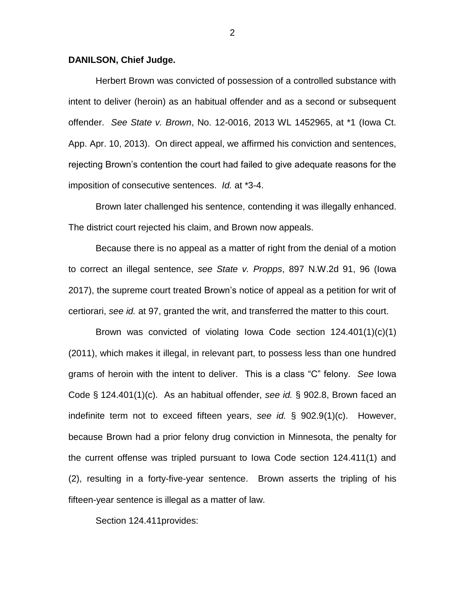## **DANILSON, Chief Judge.**

Herbert Brown was convicted of possession of a controlled substance with intent to deliver (heroin) as an habitual offender and as a second or subsequent offender. *See State v. Brown*, No. 12-0016, 2013 WL 1452965, at \*1 (Iowa Ct. App. Apr. 10, 2013). On direct appeal, we affirmed his conviction and sentences, rejecting Brown's contention the court had failed to give adequate reasons for the imposition of consecutive sentences. *Id.* at \*3-4.

Brown later challenged his sentence, contending it was illegally enhanced. The district court rejected his claim, and Brown now appeals.

Because there is no appeal as a matter of right from the denial of a motion to correct an illegal sentence, *see State v. Propps*, 897 N.W.2d 91, 96 (Iowa 2017), the supreme court treated Brown's notice of appeal as a petition for writ of certiorari, *see id.* at 97, granted the writ, and transferred the matter to this court.

Brown was convicted of violating Iowa Code section 124.401(1)(c)(1) (2011), which makes it illegal, in relevant part, to possess less than one hundred grams of heroin with the intent to deliver. This is a class "C" felony. *See* Iowa Code § 124.401(1)(c). As an habitual offender, *see id.* § 902.8, Brown faced an indefinite term not to exceed fifteen years, *see id.* § 902.9(1)(c). However, because Brown had a prior felony drug conviction in Minnesota, the penalty for the current offense was tripled pursuant to Iowa Code section 124.411(1) and (2), resulting in a forty-five-year sentence. Brown asserts the tripling of his fifteen-year sentence is illegal as a matter of law.

Section 124.411provides:

2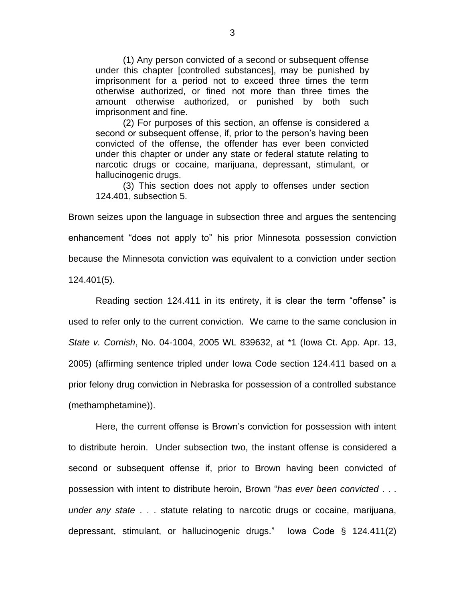(1) Any person convicted of a second or subsequent offense under this chapter [controlled substances], may be punished by imprisonment for a period not to exceed three times the term otherwise authorized, or fined not more than three times the amount otherwise authorized, or punished by both such imprisonment and fine.

(2) For purposes of this section, an offense is considered a second or subsequent offense, if, prior to the person's having been convicted of the offense, the offender has ever been convicted under this chapter or under any state or federal statute relating to narcotic drugs or cocaine, marijuana, depressant, stimulant, or hallucinogenic drugs.

(3) This section does not apply to offenses under section 124.401, subsection 5.

Brown seizes upon the language in subsection three and argues the sentencing enhancement "does not apply to" his prior Minnesota possession conviction because the Minnesota conviction was equivalent to a conviction under section 124.401(5).

Reading section 124.411 in its entirety, it is clear the term "offense" is used to refer only to the current conviction. We came to the same conclusion in *State v. Cornish*, No. 04-1004, 2005 WL 839632, at \*1 (Iowa Ct. App. Apr. 13, 2005) (affirming sentence tripled under Iowa Code section 124.411 based on a prior felony drug conviction in Nebraska for possession of a controlled substance (methamphetamine)).

Here, the current offense is Brown's conviction for possession with intent to distribute heroin. Under subsection two, the instant offense is considered a second or subsequent offense if, prior to Brown having been convicted of possession with intent to distribute heroin, Brown "*has ever been convicted* . . . *under any state* . . . statute relating to narcotic drugs or cocaine, marijuana, depressant, stimulant, or hallucinogenic drugs." Iowa Code § 124.411(2)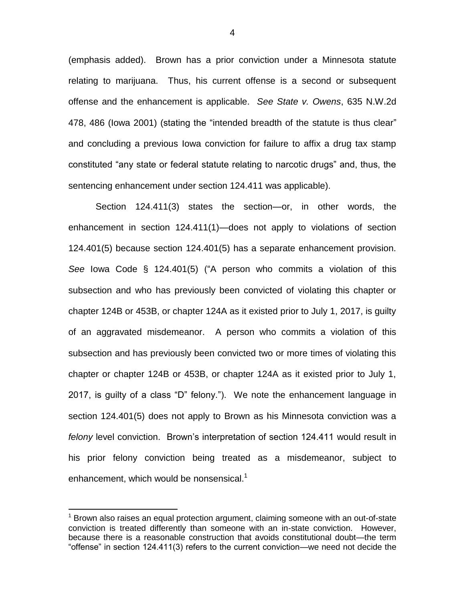(emphasis added). Brown has a prior conviction under a Minnesota statute relating to marijuana. Thus, his current offense is a second or subsequent offense and the enhancement is applicable. *See State v. Owens*, 635 N.W.2d 478, 486 (Iowa 2001) (stating the "intended breadth of the statute is thus clear" and concluding a previous Iowa conviction for failure to affix a drug tax stamp constituted "any state or federal statute relating to narcotic drugs" and, thus, the sentencing enhancement under section 124.411 was applicable).

Section 124.411(3) states the section—or, in other words, the enhancement in section 124.411(1)—does not apply to violations of section 124.401(5) because section 124.401(5) has a separate enhancement provision. *See* Iowa Code § 124.401(5) ("A person who commits a violation of this subsection and who has previously been convicted of violating this chapter or chapter 124B or 453B, or chapter 124A as it existed prior to July 1, 2017, is guilty of an aggravated misdemeanor. A person who commits a violation of this subsection and has previously been convicted two or more times of violating this chapter or chapter 124B or 453B, or chapter 124A as it existed prior to July 1, 2017, is guilty of a class "D" felony."). We note the enhancement language in section 124.401(5) does not apply to Brown as his Minnesota conviction was a *felony* level conviction. Brown's interpretation of section 124.411 would result in his prior felony conviction being treated as a misdemeanor, subject to enhancement, which would be nonsensical.<sup>1</sup>

 $\overline{a}$ 

 $1$  Brown also raises an equal protection argument, claiming someone with an out-of-state conviction is treated differently than someone with an in-state conviction. However, because there is a reasonable construction that avoids constitutional doubt—the term "offense" in section 124.411(3) refers to the current conviction—we need not decide the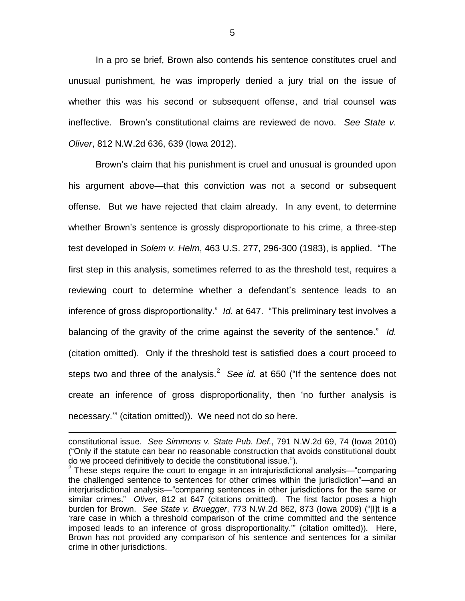In a pro se brief, Brown also contends his sentence constitutes cruel and unusual punishment, he was improperly denied a jury trial on the issue of whether this was his second or subsequent offense, and trial counsel was ineffective. Brown's constitutional claims are reviewed de novo. *See State v. Oliver*, 812 N.W.2d 636, 639 (Iowa 2012).

Brown's claim that his punishment is cruel and unusual is grounded upon his argument above—that this conviction was not a second or subsequent offense. But we have rejected that claim already. In any event, to determine whether Brown's sentence is grossly disproportionate to his crime, a three-step test developed in *Solem v. Helm*, 463 U.S. 277, 296-300 (1983), is applied. "The first step in this analysis, sometimes referred to as the threshold test, requires a reviewing court to determine whether a defendant's sentence leads to an inference of gross disproportionality." *Id.* at 647. "This preliminary test involves a balancing of the gravity of the crime against the severity of the sentence." *Id.* (citation omitted). Only if the threshold test is satisfied does a court proceed to steps two and three of the analysis.<sup>2</sup> See id. at 650 ("If the sentence does not create an inference of gross disproportionality, then 'no further analysis is necessary.'" (citation omitted)). We need not do so here.

 $\overline{a}$ 

constitutional issue. *See Simmons v. State Pub. Def.*, 791 N.W.2d 69, 74 (Iowa 2010) ("Only if the statute can bear no reasonable construction that avoids constitutional doubt do we proceed definitively to decide the constitutional issue.").

<sup>&</sup>lt;sup>2</sup> These steps require the court to engage in an intrajurisdictional analysis—"comparing the challenged sentence to sentences for other crimes within the jurisdiction"—and an interjurisdictional analysis—"comparing sentences in other jurisdictions for the same or similar crimes." *Oliver*, 812 at 647 (citations omitted). The first factor poses a high burden for Brown. *See State v. Bruegger*, 773 N.W.2d 862, 873 (Iowa 2009) ("[I]t is a 'rare case in which a threshold comparison of the crime committed and the sentence imposed leads to an inference of gross disproportionality.'" (citation omitted)). Here, Brown has not provided any comparison of his sentence and sentences for a similar crime in other jurisdictions.